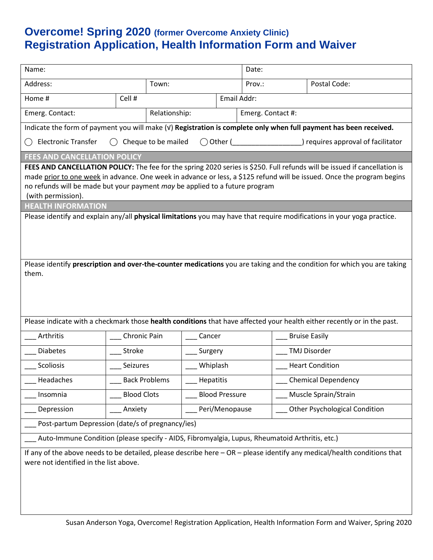## **Overcome! Spring 2020 (former Overcome Anxiety Clinic) Registration Application, Health Information Form and Waiver**

| Name:                                                                                                                                                                                                                                                                                                                                                    |                      |                     |                       | Date:                              |                                                                                                                          |  |
|----------------------------------------------------------------------------------------------------------------------------------------------------------------------------------------------------------------------------------------------------------------------------------------------------------------------------------------------------------|----------------------|---------------------|-----------------------|------------------------------------|--------------------------------------------------------------------------------------------------------------------------|--|
| Address:                                                                                                                                                                                                                                                                                                                                                 |                      | Town:               |                       | Prov.:                             | Postal Code:                                                                                                             |  |
| Cell #<br>Home #                                                                                                                                                                                                                                                                                                                                         |                      |                     | Email Addr:           |                                    |                                                                                                                          |  |
| Emerg. Contact:                                                                                                                                                                                                                                                                                                                                          |                      | Relationship:       |                       | Emerg. Contact #:                  |                                                                                                                          |  |
| Indicate the form of payment you will make (v) Registration is complete only when full payment has been received.                                                                                                                                                                                                                                        |                      |                     |                       |                                    |                                                                                                                          |  |
| <b>Electronic Transfer</b>                                                                                                                                                                                                                                                                                                                               |                      | Cheque to be mailed |                       | ) requires approval of facilitator |                                                                                                                          |  |
| <b>FEES AND CANCELLATION POLICY</b>                                                                                                                                                                                                                                                                                                                      |                      |                     |                       |                                    |                                                                                                                          |  |
| FEES AND CANCELLATION POLICY: The fee for the spring 2020 series is \$250. Full refunds will be issued if cancellation is<br>made prior to one week in advance. One week in advance or less, a \$125 refund will be issued. Once the program begins<br>no refunds will be made but your payment may be applied to a future program<br>(with permission). |                      |                     |                       |                                    |                                                                                                                          |  |
| <b>HEALTH INFORMATION</b><br>Please identify and explain any/all <b>physical limitations</b> you may have that require modifications in your yoga practice.                                                                                                                                                                                              |                      |                     |                       |                                    |                                                                                                                          |  |
| Please identify prescription and over-the-counter medications you are taking and the condition for which you are taking<br>them.                                                                                                                                                                                                                         |                      |                     |                       |                                    |                                                                                                                          |  |
|                                                                                                                                                                                                                                                                                                                                                          |                      |                     |                       |                                    |                                                                                                                          |  |
|                                                                                                                                                                                                                                                                                                                                                          |                      |                     |                       |                                    | Please indicate with a checkmark those health conditions that have affected your health either recently or in the past.  |  |
| Arthritis                                                                                                                                                                                                                                                                                                                                                | Chronic Pain         |                     | Cancer                |                                    | <b>Bruise Easily</b>                                                                                                     |  |
| <b>Diabetes</b>                                                                                                                                                                                                                                                                                                                                          | Stroke               |                     | Surgery               |                                    | <b>TMJ Disorder</b>                                                                                                      |  |
| Scoliosis                                                                                                                                                                                                                                                                                                                                                | Seizures             |                     | Whiplash              |                                    | <b>Heart Condition</b>                                                                                                   |  |
| Headaches                                                                                                                                                                                                                                                                                                                                                | <b>Back Problems</b> |                     | Hepatitis             |                                    | <b>Chemical Dependency</b>                                                                                               |  |
| Insomnia                                                                                                                                                                                                                                                                                                                                                 | <b>Blood Clots</b>   |                     | <b>Blood Pressure</b> |                                    | Muscle Sprain/Strain                                                                                                     |  |
| Depression                                                                                                                                                                                                                                                                                                                                               | Anxiety              |                     | Peri/Menopause        |                                    | <b>Other Psychological Condition</b>                                                                                     |  |
| Post-partum Depression (date/s of pregnancy/ies)                                                                                                                                                                                                                                                                                                         |                      |                     |                       |                                    |                                                                                                                          |  |
| Auto-Immune Condition (please specify - AIDS, Fibromyalgia, Lupus, Rheumatoid Arthritis, etc.)                                                                                                                                                                                                                                                           |                      |                     |                       |                                    |                                                                                                                          |  |
| were not identified in the list above.                                                                                                                                                                                                                                                                                                                   |                      |                     |                       |                                    | If any of the above needs to be detailed, please describe here - OR - please identify any medical/health conditions that |  |